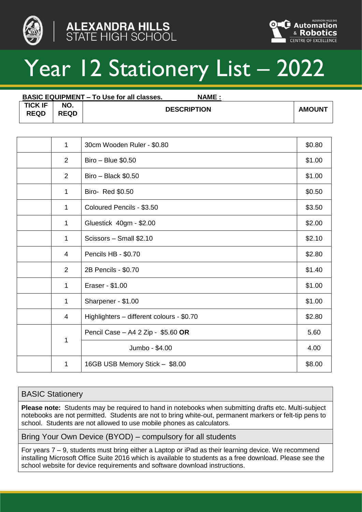



# Year 12 Stationery List – 2022

|                               |                    | <b>BASIC EQUIPMENT – To Use for all classes.</b> | <b>NAME:</b>  |
|-------------------------------|--------------------|--------------------------------------------------|---------------|
| <b>TICK IF</b><br><b>REQD</b> | NO.<br><b>REQD</b> | <b>DESCRIPTION</b>                               | <b>AMOUNT</b> |

| $\mathbf{1}$   | 30cm Wooden Ruler - \$0.80                | \$0.80 |
|----------------|-------------------------------------------|--------|
| $\overline{2}$ | Biro - Blue \$0.50                        | \$1.00 |
| $\overline{2}$ | $Biro - Black $0.50$                      | \$1.00 |
| $\mathbf{1}$   | Biro- Red \$0.50                          | \$0.50 |
| $\mathbf{1}$   | Coloured Pencils - \$3.50                 | \$3.50 |
| $\mathbf{1}$   | Gluestick 40gm - \$2.00                   | \$2.00 |
| $\mathbf{1}$   | Scissors - Small \$2.10                   | \$2.10 |
| 4              | Pencils HB - \$0.70                       | \$2.80 |
| $\overline{2}$ | 2B Pencils - \$0.70                       | \$1.40 |
| 1              | Eraser - \$1.00                           | \$1.00 |
| $\mathbf 1$    | Sharpener - \$1.00                        | \$1.00 |
| 4              | Highlighters - different colours - \$0.70 | \$2.80 |
|                | Pencil Case - A4 2 Zip - \$5.60 OR        | 5.60   |
| $\mathbf 1$    | Jumbo - \$4.00                            | 4.00   |
| 1              | 16GB USB Memory Stick - \$8.00            | \$8.00 |

## BASIC Stationery

**Please note:** Students may be required to hand in notebooks when submitting drafts etc. Multi-subject notebooks are not permitted. Students are not to bring white-out, permanent markers or felt-tip pens to school. Students are not allowed to use mobile phones as calculators.

Bring Your Own Device (BYOD) – compulsory for all students

For years 7 – 9, students must bring either a Laptop or iPad as their learning device. We recommend installing Microsoft Office Suite 2016 which is available to students as a free download. Please see the school website for device requirements and software download instructions.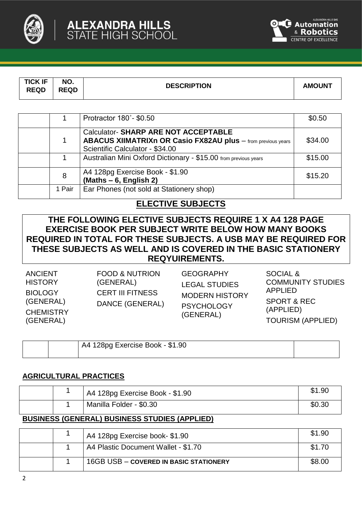



| <b>TICK IF</b><br>NO.<br><b>DESCRIPTION</b><br><b>AMOUNT</b><br><b>REQD</b><br><b>REQD</b> |  |
|--------------------------------------------------------------------------------------------|--|
|--------------------------------------------------------------------------------------------|--|

|        | Protractor 180°-\$0.50                                                                                                                                | \$0.50  |
|--------|-------------------------------------------------------------------------------------------------------------------------------------------------------|---------|
| 1      | <b>Calculator- SHARP ARE NOT ACCEPTABLE</b><br><b>ABACUS XIIMATRIXn OR Casio FX82AU plus</b> - from previous years<br>Scientific Calculator - \$34.00 | \$34.00 |
|        | Australian Mini Oxford Dictionary - \$15.00 from previous years                                                                                       | \$15.00 |
| 8      | A4 128pg Exercise Book - \$1.90<br>$(Maths - 6, English 2)$                                                                                           | \$15.20 |
| 1 Pair | Ear Phones (not sold at Stationery shop)                                                                                                              |         |

# **ELECTIVE SUBJECTS**

**THE FOLLOWING ELECTIVE SUBJECTS REQUIRE 1 X A4 128 PAGE EXERCISE BOOK PER SUBJECT WRITE BELOW HOW MANY BOOKS REQUIRED IN TOTAL FOR THESE SUBJECTS. A USB MAY BE REQUIRED FOR THESE SUBJECTS AS WELL AND IS COVERED IN THE BASIC STATIONERY REQYUIREMENTS.**

| <b>FOOD &amp; NUTRION</b><br><b>ANCIENT</b><br><b>HISTORY</b><br>(GENERAL)<br><b>CERT III FITNESS</b><br><b>BIOLOGY</b><br>(GENERAL)<br>DANCE (GENERAL)<br><b>CHEMISTRY</b><br>(GENERAL) | <b>GEOGRAPHY</b><br><b>LEGAL STUDIES</b><br><b>MODERN HISTORY</b><br><b>PSYCHOLOGY</b><br>(GENERAL) | SOCIAL &<br><b>COMMUNITY STUDIES</b><br>APPLIED<br><b>SPORT &amp; REC</b><br>(APPLIED)<br><b>TOURISM (APPLIED)</b> |
|------------------------------------------------------------------------------------------------------------------------------------------------------------------------------------------|-----------------------------------------------------------------------------------------------------|--------------------------------------------------------------------------------------------------------------------|
|------------------------------------------------------------------------------------------------------------------------------------------------------------------------------------------|-----------------------------------------------------------------------------------------------------|--------------------------------------------------------------------------------------------------------------------|

|  | A4 128pg Exercise Book - \$1.90 |  |
|--|---------------------------------|--|
|  |                                 |  |

## **AGRICULTURAL PRACTICES**

|  | A4 128pg Exercise Book - \$1.90 | \$1.90 |
|--|---------------------------------|--------|
|  | Manilla Folder - \$0.30         | \$0.30 |

## **BUSINESS (GENERAL) BUSINESS STUDIES (APPLIED)**

|  | A4 128pg Exercise book-\$1.90          | \$1.90 |
|--|----------------------------------------|--------|
|  | A4 Plastic Document Wallet - \$1.70    | \$1.70 |
|  | 16GB USB - COVERED IN BASIC STATIONERY | \$8.00 |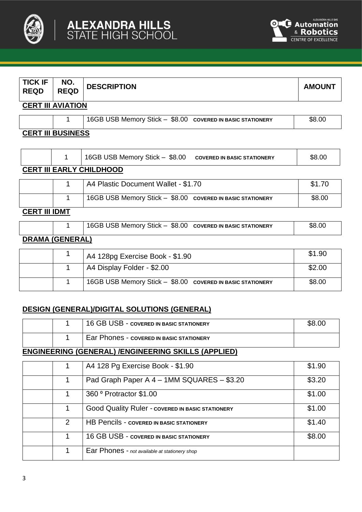



| <b>TICK IF</b><br><b>REQD</b> | NO.<br><b>REQD</b>       | <b>DESCRIPTION</b>                                                   | <b>AMOUNT</b> |  |
|-------------------------------|--------------------------|----------------------------------------------------------------------|---------------|--|
|                               | <b>CERT III AVIATION</b> |                                                                      |               |  |
|                               |                          | 16GB USB Memory Stick - \$8.00 COVERED IN BASIC STATIONERY           | \$8.00        |  |
| <b>CERT III BUSINESS</b>      |                          |                                                                      |               |  |
|                               | 1                        | 16GB USB Memory Stick - \$8.00<br><b>COVERED IN BASIC STATIONERY</b> | \$8.00        |  |
|                               |                          | <b>CERT III EARLY CHILDHOOD</b>                                      |               |  |
|                               |                          | A4 Plastic Document Wallet - \$1 70                                  | \$1.70        |  |

|               | A4 Plastic Document Wallet - \$1.70                        | \$1.70 |
|---------------|------------------------------------------------------------|--------|
|               | 16GB USB Memory Stick - \$8.00 COVERED IN BASIC STATIONERY | \$8.00 |
| CEDT III INMT |                                                            |        |

#### **CERT III IDMT**

|                                |  | 16GB USB Memory Stick $-$ \$8.00 covered in BASIC STATIONERY | \$8.00 |
|--------------------------------|--|--------------------------------------------------------------|--------|
| <b>DRAMA <i>I</i>OFLIERALI</b> |  |                                                              |        |

#### **DRAMA (GENERAL)**

|  | A4 128pg Exercise Book - \$1.90                            | \$1.90 |
|--|------------------------------------------------------------|--------|
|  | A4 Display Folder - \$2.00                                 | \$2.00 |
|  | 16GB USB Memory Stick - \$8.00 COVERED IN BASIC STATIONERY | \$8.00 |

# **DESIGN (GENERAL)/DIGITAL SOLUTIONS (GENERAL)**

|  | 16 GB USB - COVERED IN BASIC STATIONERY         | \$8.00 |
|--|-------------------------------------------------|--------|
|  | <b>Ear Phones - COVERED IN BASIC STATIONERY</b> |        |

# **ENGINEERING (GENERAL) /ENGINEERING SKILLS (APPLIED)**

|               | A4 128 Pg Exercise Book - \$1.90                        | \$1.90 |
|---------------|---------------------------------------------------------|--------|
| 1             | Pad Graph Paper A 4 - 1MM SQUARES - \$3.20              | \$3.20 |
|               | 360 ° Protractor \$1.00                                 | \$1.00 |
| 1             | <b>Good Quality Ruler - COVERED IN BASIC STATIONERY</b> | \$1.00 |
| $\mathcal{P}$ | <b>HB Pencils - COVERED IN BASIC STATIONERY</b>         | \$1.40 |
| 1             | 16 GB USB - COVERED IN BASIC STATIONERY                 | \$8.00 |
| 1             | Ear Phones - not available at stationery shop           |        |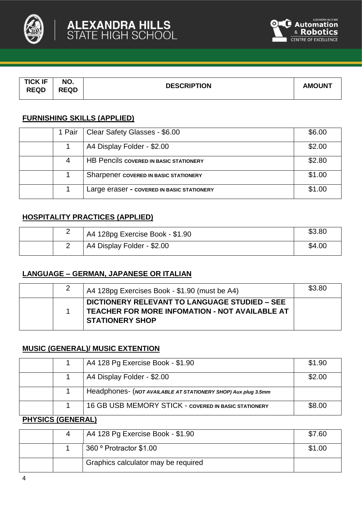



| <b>TICK IF</b> | NO.         | <b>DESCRIPTION</b> | <b>AMOUNT</b> |
|----------------|-------------|--------------------|---------------|
| <b>REQD</b>    | <b>REQD</b> |                    |               |

# **FURNISHING SKILLS (APPLIED)**

| 1 Pair | Clear Safety Glasses - \$6.00                 | \$6.00 |
|--------|-----------------------------------------------|--------|
|        | A4 Display Folder - \$2.00                    | \$2.00 |
|        | <b>HB Pencils COVERED IN BASIC STATIONERY</b> | \$2.80 |
|        | Sharpener covered IN BASIC STATIONERY         | \$1.00 |
|        | Large eraser - covered IN BASIC STATIONERY    | \$1.00 |

# **HOSPITALITY PRACTICES (APPLIED)**

| - | A4 128pg Exercise Book - \$1.90 | \$3.80 |
|---|---------------------------------|--------|
|   | A4 Display Folder - \$2.00      | \$4.00 |

## **LANGUAGE – GERMAN, JAPANESE OR ITALIAN**

|  | A4 128pg Exercises Book - \$1.90 (must be A4)                                                                                    | \$3.80 |
|--|----------------------------------------------------------------------------------------------------------------------------------|--------|
|  | <b>DICTIONERY RELEVANT TO LANGUAGE STUDIED - SEE</b><br>TEACHER FOR MORE INFOMATION - NOT AVAILABLE AT<br><b>STATIONERY SHOP</b> |        |

#### **MUSIC (GENERAL)/ MUSIC EXTENTION**

|  | A4 128 Pg Exercise Book - \$1.90                              | \$1.90 |
|--|---------------------------------------------------------------|--------|
|  | A4 Display Folder - \$2.00                                    | \$2.00 |
|  | Headphones- (NOT AVAILABLE AT STATIONERY SHOP) Aux plug 3.5mm |        |
|  | <b>16 GB USB MEMORY STICK - COVERED IN BASIC STATIONERY</b>   | \$8.00 |

#### **PHYSICS (GENERAL)**

|  | A4 128 Pg Exercise Book - \$1.90    | \$7.60 |
|--|-------------------------------------|--------|
|  | 360 ° Protractor \$1.00             | \$1.00 |
|  | Graphics calculator may be required |        |